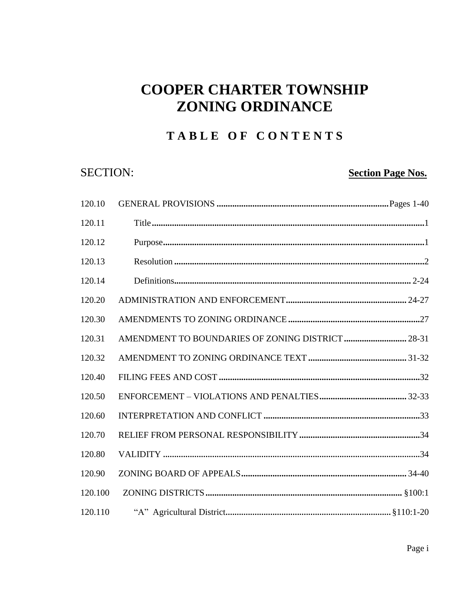## TABLE OF CONTENTS

## **SECTION:**

## **Section Page Nos.**

| 120.10  |                                                   |  |
|---------|---------------------------------------------------|--|
| 120.11  |                                                   |  |
| 120.12  |                                                   |  |
| 120.13  |                                                   |  |
| 120.14  |                                                   |  |
| 120.20  |                                                   |  |
| 120.30  |                                                   |  |
| 120.31  | AMENDMENT TO BOUNDARIES OF ZONING DISTRICT  28-31 |  |
| 120.32  |                                                   |  |
| 120.40  |                                                   |  |
| 120.50  |                                                   |  |
| 120.60  |                                                   |  |
| 120.70  |                                                   |  |
| 120.80  |                                                   |  |
| 120.90  |                                                   |  |
| 120.100 |                                                   |  |
| 120.110 |                                                   |  |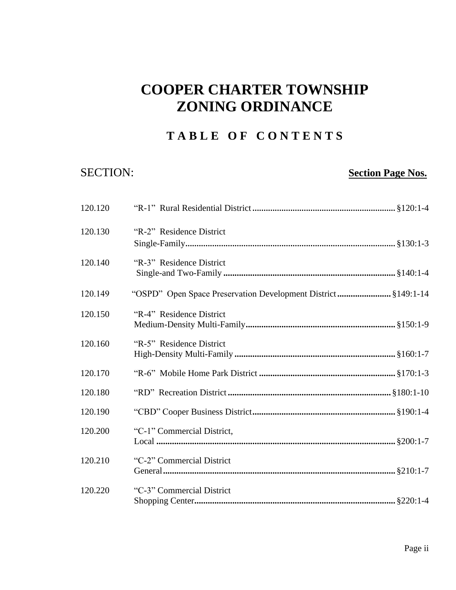## **T A B L E O F C O N T E N T S**

## SECTION: **SECTION: SECTION**

| 120.120 |                                                               |
|---------|---------------------------------------------------------------|
| 120.130 | "R-2" Residence District                                      |
| 120.140 | "R-3" Residence District                                      |
| 120.149 | "OSPD" Open Space Preservation Development District §149:1-14 |
| 120.150 | "R-4" Residence District                                      |
| 120.160 | "R-5" Residence District                                      |
| 120.170 |                                                               |
| 120.180 |                                                               |
| 120.190 |                                                               |
| 120.200 | "C-1" Commercial District,                                    |
| 120.210 | "C-2" Commercial District                                     |
| 120.220 | "C-3" Commercial District                                     |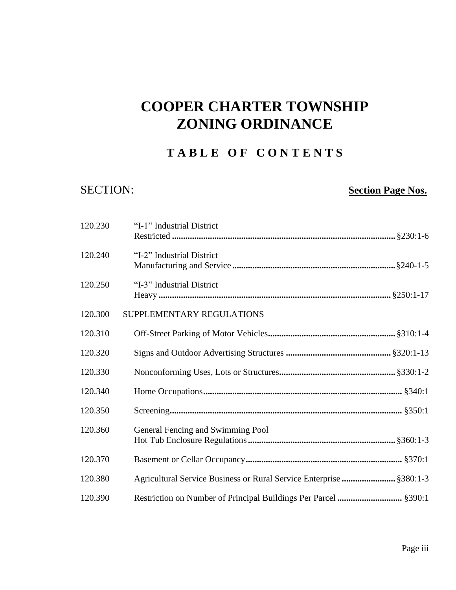## **T A B L E O F C O N T E N T S**

## SECTION: **Section Page Nos.**

| 120.230 | "I-1" Industrial District                                           |
|---------|---------------------------------------------------------------------|
| 120.240 | "I-2" Industrial District                                           |
| 120.250 | "I-3" Industrial District                                           |
| 120.300 | SUPPLEMENTARY REGULATIONS                                           |
| 120.310 |                                                                     |
| 120.320 |                                                                     |
| 120.330 |                                                                     |
| 120.340 |                                                                     |
| 120.350 |                                                                     |
| 120.360 | General Fencing and Swimming Pool                                   |
| 120.370 |                                                                     |
| 120.380 | Agricultural Service Business or Rural Service Enterprise  §380:1-3 |
| 120.390 | Restriction on Number of Principal Buildings Per Parcel  §390:1     |